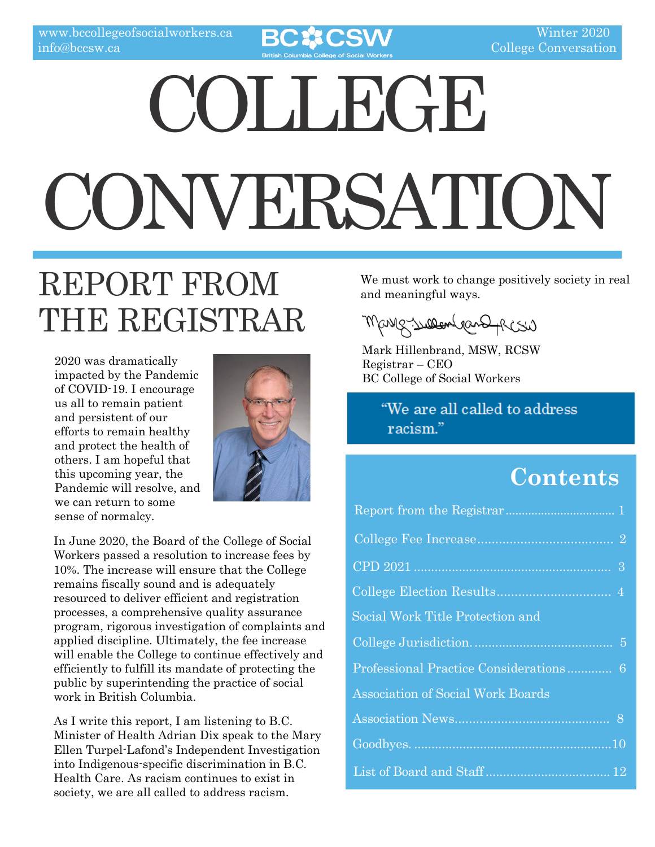

# COLLEGE. CONVERSATION

## REPORT FROM THE REGISTRAR

2020 was dramatically impacted by the Pandemic of COVID-19. I encourage us all to remain patient and persistent of our efforts to remain healthy and protect the health of others. I am hopeful that this upcoming year, the Pandemic will resolve, and we can return to some sense of normalcy.



In June 2020, the Board of the College of Social Workers passed a resolution to increase fees by 10%. The increase will ensure that the College remains fiscally sound and is adequately resourced to deliver efficient and registration processes, a comprehensive quality assurance program, rigorous investigation of complaints and applied discipline. Ultimately, the fee increase will enable the College to continue effectively and efficiently to fulfill its mandate of protecting the public by superintending the practice of social work in British Columbia.

As I write this report, I am listening to B.C. Minister of Health Adrian Dix speak to the Mary Ellen Turpel-Lafond's Independent Investigation into Indigenous-specific discrimination in B.C. Health Care. As racism continues to exist in society, we are all called to address racism.

We must work to change positively society in real and meaningful ways.

Marge Suppendent Shart

Mark Hillenbrand, MSW, RCSW Registrar – CEO BC College of Social Workers

> "We are all called to address racism."

### **Contents**

| Social Work Title Protection and         |  |
|------------------------------------------|--|
|                                          |  |
| Professional Practice Considerations 6   |  |
| <b>Association of Social Work Boards</b> |  |
|                                          |  |
|                                          |  |
|                                          |  |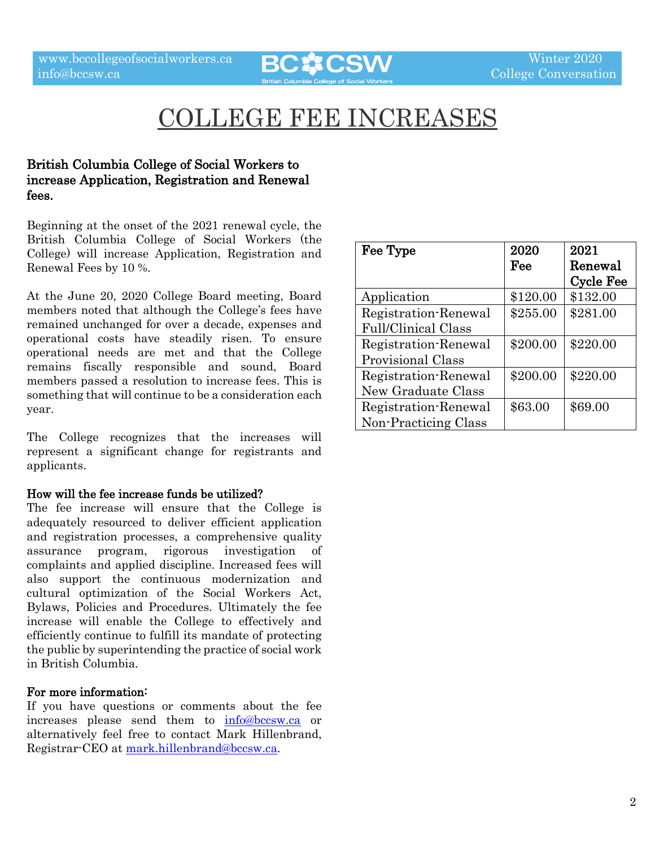

## COLLEGE FEE INCREASES

#### British Columbia College of Social Workers to increase Application, Registration and Renewal fees.

Beginning at the onset of the 2021 renewal cycle, the British Columbia College of Social Workers (the College) will increase Application, Registration and Renewal Fees by 10 %.

At the June 20, 2020 College Board meeting, Board members noted that although the College's fees have remained unchanged for over a decade, expenses and operational costs have steadily risen. To ensure operational needs are met and that the College remains fiscally responsible and sound, Board members passed a resolution to increase fees. This is something that will continue to be a consideration each year.

The College recognizes that the increases will represent a significant change for registrants and applicants.

#### How will the fee increase funds be utilized?

The fee increase will ensure that the College is adequately resourced to deliver efficient application and registration processes, a comprehensive quality assurance program, rigorous investigation of complaints and applied discipline. Increased fees will also support the continuous modernization and cultural optimization of the Social Workers Act, Bylaws, Policies and Procedures. Ultimately the fee increase will enable the College to effectively and efficiently continue to fulfill its mandate of protecting the public by superintending the practice of social work in British Columbia.

#### For more information:

If you have questions or comments about the fee increases please send them to [info@bccsw.ca](mailto:info@bccsw.ca) or alternatively feel free to contact Mark Hillenbrand, Registrar-CEO at [mark.hillenbrand@bccsw.ca.](mailto:mark.hillenbrand@bccsw.ca)

| Fee Type                   | 2020     | 2021             |
|----------------------------|----------|------------------|
|                            | Fee      | Renewal          |
|                            |          | <b>Cycle Fee</b> |
| Application                | \$120.00 | \$132.00         |
| Registration-Renewal       | \$255.00 | \$281.00         |
| <b>Full/Clinical Class</b> |          |                  |
| Registration-Renewal       | \$200.00 | \$220.00         |
| Provisional Class          |          |                  |
| Registration-Renewal       | \$200.00 | \$220.00         |
| New Graduate Class         |          |                  |
| Registration-Renewal       | \$63.00  | \$69.00          |
| Non-Practicing Class       |          |                  |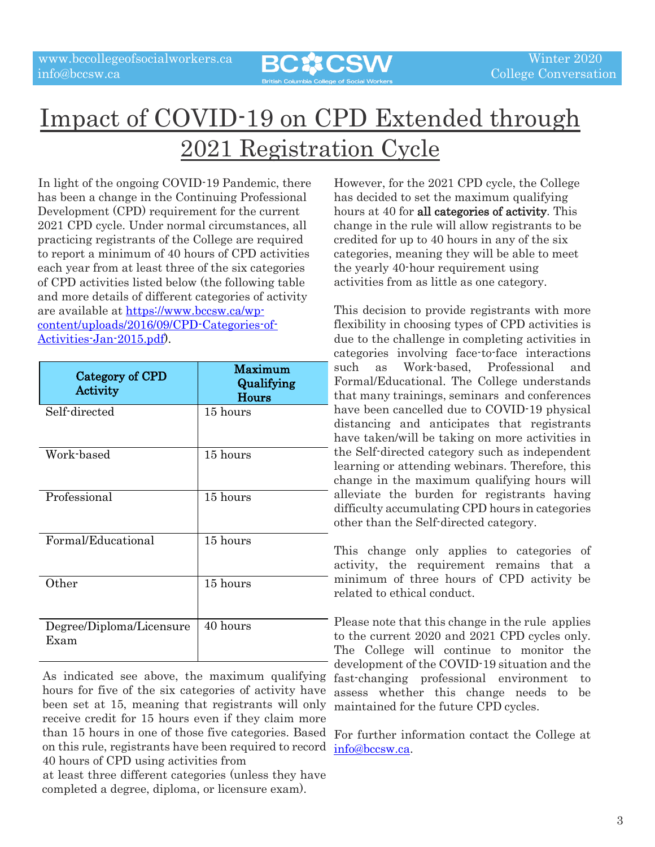

## Impact of COVID-19 on CPD Extended through 2021 Registration Cycle

In light of the ongoing COVID-19 Pandemic, there has been a change in the Continuing Professional Development (CPD) requirement for the current 2021 CPD cycle. Under normal circumstances, all practicing registrants of the College are required to report a minimum of 40 hours of CPD activities each year from at least three of the six categories of CPD activities listed below (the following table and more details of different categories of activity are available at [https://www.bccsw.ca/wp](https://www.bccsw.ca/wp-content/uploads/2016/09/CPD-Categories-of-Activities-Jan-2015.pdf)[content/uploads/2016/09/CPD-Categories-of-](https://www.bccsw.ca/wp-content/uploads/2016/09/CPD-Categories-of-Activities-Jan-2015.pdf)[Activities-Jan-2015.pdf\)](https://www.bccsw.ca/wp-content/uploads/2016/09/CPD-Categories-of-Activities-Jan-2015.pdf).

| Category of CPD<br>Activity      | Maximum<br>Qualifying<br><b>Hours</b> |
|----------------------------------|---------------------------------------|
| Self-directed                    | 15 hours                              |
| Work-based                       | 15 hours                              |
| Professional                     | 15 hours                              |
| Formal/Educational               | 15 hours                              |
| Other                            | 15 hours                              |
| Degree/Diploma/Licensure<br>Exam | 40 hours                              |

As indicated see above, the maximum qualifying hours for five of the six categories of activity have been set at 15, meaning that registrants will only receive credit for 15 hours even if they claim more than 15 hours in one of those five categories. Based on this rule, registrants have been required to record  $\frac{info@bccsw.ca.}{info@bccsw.ca.}$  $\frac{info@bccsw.ca.}{info@bccsw.ca.}$  $\frac{info@bccsw.ca.}{info@bccsw.ca.}$ 40 hours of CPD using activities from

at least three different categories (unless they have completed a degree, diploma, or licensure exam).

However, for the 2021 CPD cycle, the College has decided to set the maximum qualifying hours at 40 for all categories of activity. This change in the rule will allow registrants to be credited for up to 40 hours in any of the six categories, meaning they will be able to meet the yearly 40-hour requirement using activities from as little as one category.

This decision to provide registrants with more flexibility in choosing types of CPD activities is due to the challenge in completing activities in categories involving face-to-face interactions such as Work-based, Professional and Formal/Educational. The College understands that many trainings, seminars and conferences have been cancelled due to COVID-19 physical distancing and anticipates that registrants have taken/will be taking on more activities in the Self-directed category such as independent learning or attending webinars. Therefore, this change in the maximum qualifying hours will alleviate the burden for registrants having difficulty accumulating CPD hours in categories other than the Self-directed category.

This change only applies to categories of activity, the requirement remains that a minimum of three hours of CPD activity be related to ethical conduct.

Please note that this change in the rule applies to the current 2020 and 2021 CPD cycles only. The College will continue to monitor the development of the COVID-19 situation and the fast-changing professional environment to assess whether this change needs to be maintained for the future CPD cycles.

For further information contact the College at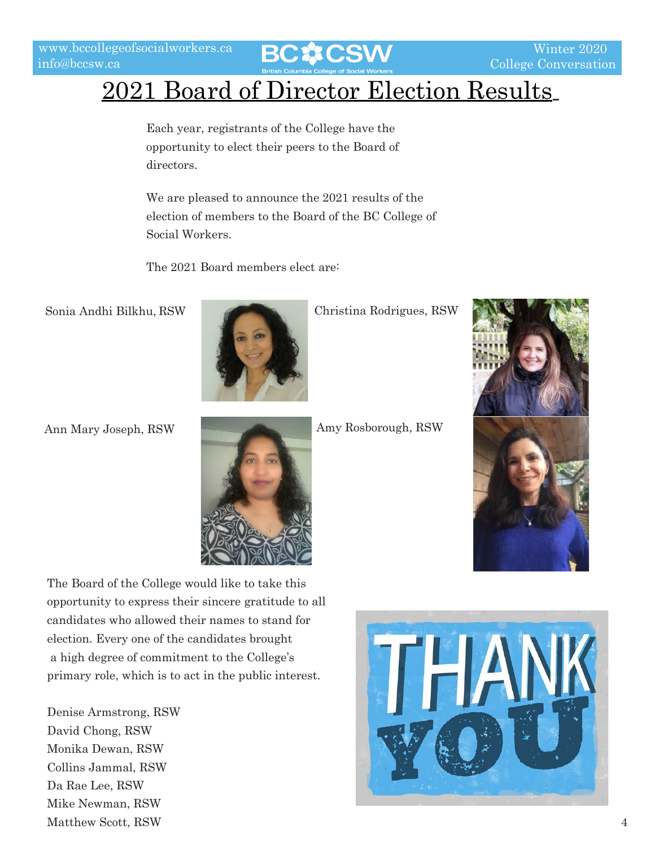Winter 2020 College Conversation

## 2021 Board of Director Election Results

Each year, registrants of the College have the opportunity to elect their peers to the Board of directors.

We are pleased to announce the 2021 results of the election of members to the Board of the BC College of Social Workers.

The 2021 Board members elect are:

Sonia Andhi Bilkhu, RSW



Christina Rodrigues, RSW

Ann Mary Joseph, RSW



Amy Rosborough, RSW



The Board of the College would like to take this opportunity to express their sincere gratitude to all candidates who allowed their names to stand for election. Every one of the candidates brought a high degree of commitment to the College's primary role, which is to act in the public interest.

Denise Armstrong, RSW David Chong, RSW Monika Dewan, RSW Collins Jammal, RSW Da Rae Lee, RSW Mike Newman, RSW Matthew Scott, RSW 4

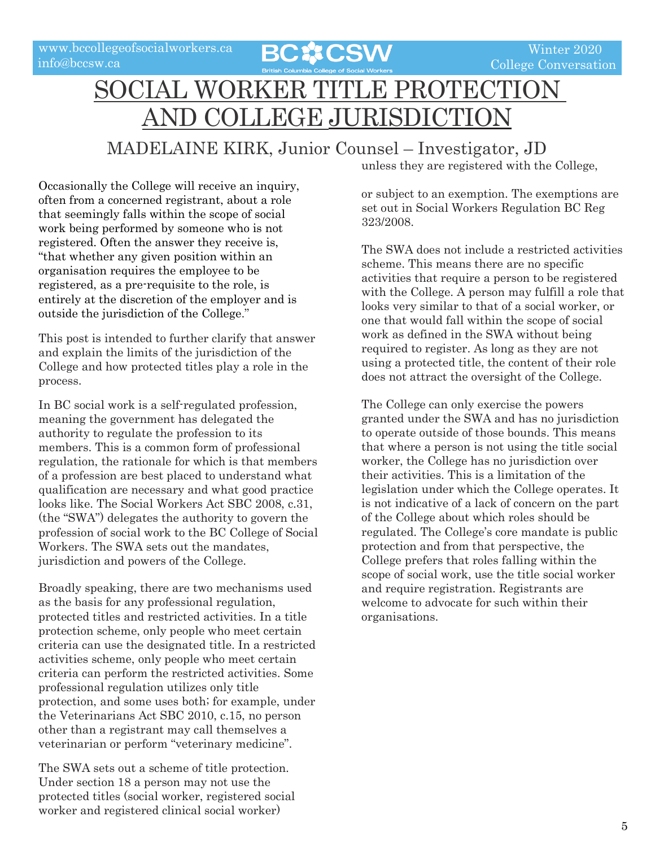

## SOCIAL WORKER TITLE PROTECTION 'OLLEGE JURISDICTIO

#### MADELAINE KIRK, Junior Counsel – Investigator, JD

Occasionally the College will receive an inquiry, often from a concerned registrant, about a role that seemingly falls within the scope of social work being performed by someone who is not registered. Often the answer they receive is, "that whether any given position within an organisation requires the employee to be registered, as a pre-requisite to the role, is entirely at the discretion of the employer and is outside the jurisdiction of the College."

This post is intended to further clarify that answer and explain the limits of the jurisdiction of the College and how protected titles play a role in the process.

In BC social work is a self-regulated profession, meaning the government has delegated the authority to regulate the profession to its members. This is a common form of professional regulation, the rationale for which is that members of a profession are best placed to understand what qualification are necessary and what good practice looks like. The Social Workers Act SBC 2008, c.31, (the "SWA") delegates the authority to govern the profession of social work to the BC College of Social Workers. The SWA sets out the mandates, jurisdiction and powers of the College.

Broadly speaking, there are two mechanisms used as the basis for any professional regulation, protected titles and restricted activities. In a title protection scheme, only people who meet certain criteria can use the designated title. In a restricted activities scheme, only people who meet certain criteria can perform the restricted activities. Some professional regulation utilizes only title protection, and some uses both; for example, under the Veterinarians Act SBC 2010, c.15, no person other than a registrant may call themselves a veterinarian or perform "veterinary medicine".

The SWA sets out a scheme of title protection. Under section 18 a person may not use the protected titles (social worker, registered social worker and registered clinical social worker)

unless they are registered with the College,

or subject to an exemption. The exemptions are set out in Social Workers Regulation BC Reg 323/2008.

The SWA does not include a restricted activities scheme. This means there are no specific activities that require a person to be registered with the College. A person may fulfill a role that looks very similar to that of a social worker, or one that would fall within the scope of social work as defined in the SWA without being required to register. As long as they are not using a protected title, the content of their role does not attract the oversight of the College.

The College can only exercise the powers granted under the SWA and has no jurisdiction to operate outside of those bounds. This means that where a person is not using the title social worker, the College has no jurisdiction over their activities. This is a limitation of the legislation under which the College operates. It is not indicative of a lack of concern on the part of the College about which roles should be regulated. The College's core mandate is public protection and from that perspective, the College prefers that roles falling within the scope of social work, use the title social worker and require registration. Registrants are welcome to advocate for such within their organisations.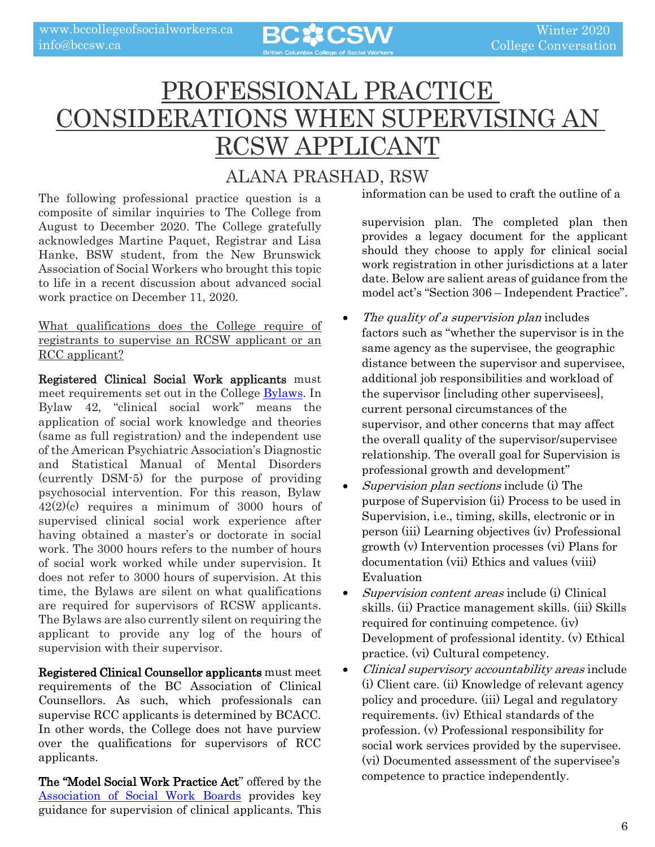

## PROFESSIONAL PRACTICE CONSIDERATIONS WHEN SUPERVISING AN RCSW APPLICANT

#### ALANA PRASHAD, RSW

The following professional practice question is a composite of similar inquiries to The College from August to December 2020. The College gratefully acknowledges Martine Paquet, Registrar and Lisa Hanke, BSW student, from the New Brunswick Association of Social Workers who brought this topic to life in a recent discussion about advanced social work practice on December 11, 2020.

What qualifications does the College require of registrants to supervise an RCSW applicant or an RCC applicant?

Registered Clinical Social Work applicants must meet requirements set out in the College [Bylaws.](https://www.bclaws.ca/civix/document/id/complete/statreg/00_08031_01) In Bylaw 42, "clinical social work" means the application of social work knowledge and theories (same as full registration) and the independent use of the American Psychiatric Association's Diagnostic and Statistical Manual of Mental Disorders (currently DSM-5) for the purpose of providing psychosocial intervention. For this reason, Bylaw 42(2)(c) requires a minimum of 3000 hours of supervised clinical social work experience after having obtained a master's or doctorate in social work. The 3000 hours refers to the number of hours of social work worked while under supervision. It does not refer to 3000 hours of supervision. At this time, the Bylaws are silent on what qualifications are required for supervisors of RCSW applicants. The Bylaws are also currently silent on requiring the applicant to provide any log of the hours of supervision with their supervisor.

Registered Clinical Counsellor applicants must meet requirements of the BC Association of Clinical Counsellors. As such, which professionals can supervise RCC applicants is determined by BCACC. In other words, the College does not have purview over the qualifications for supervisors of RCC applicants.

The "Model Social Work Practice Act" offered by the [Association of Social Work Boards](https://www.aswb.org/wp-content/uploads/2013/10/Model_law.pdf) provides key guidance for supervision of clinical applicants. This

information can be used to craft the outline of a

supervision plan. The completed plan then provides a legacy document for the applicant should they choose to apply for clinical social work registration in other jurisdictions at a later date. Below are salient areas of guidance from the model act's "Section 306 – Independent Practice".

- The quality of a supervision plan includes factors such as "whether the supervisor is in the same agency as the supervisee, the geographic distance between the supervisor and supervisee, additional job responsibilities and workload of the supervisor [including other supervisees], current personal circumstances of the supervisor, and other concerns that may affect the overall quality of the supervisor/supervisee relationship. The overall goal for Supervision is professional growth and development"
- Supervision plan sections include (i) The purpose of Supervision (ii) Process to be used in Supervision, i.e., timing, skills, electronic or in person (iii) Learning objectives (iv) Professional growth (v) Intervention processes (vi) Plans for documentation (vii) Ethics and values (viii) Evaluation
- Supervision content areas include (i) Clinical skills. (ii) Practice management skills. (iii) Skills required for continuing competence. (iv) Development of professional identity. (v) Ethical practice. (vi) Cultural competency.
- Clinical supervisory accountability areas include (i) Client care. (ii) Knowledge of relevant agency policy and procedure. (iii) Legal and regulatory requirements. (iv) Ethical standards of the profession. (v) Professional responsibility for social work services provided by the supervisee. (vi) Documented assessment of the supervisee's competence to practice independently.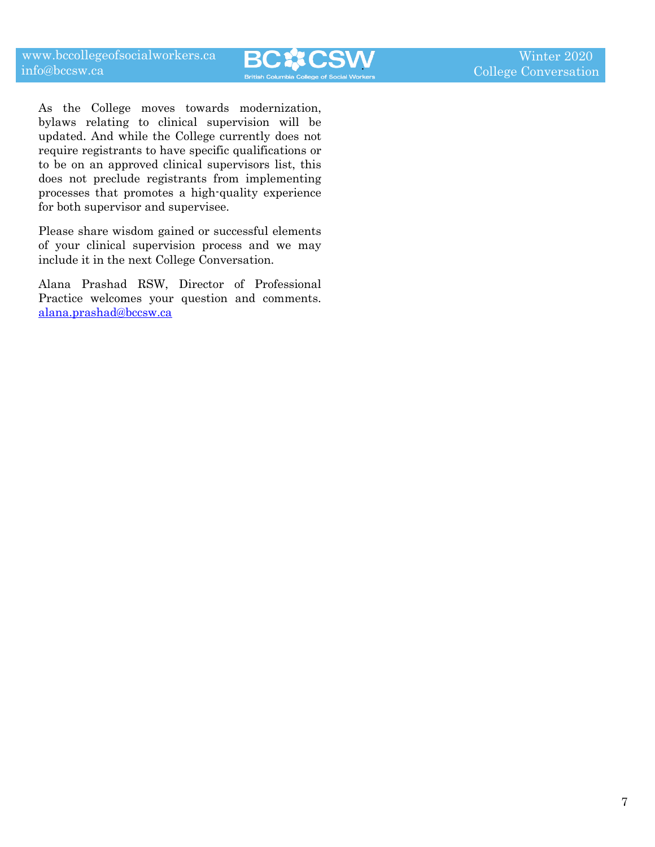As the College moves towards modernization, bylaws relating to clinical supervision will be updated. And while the College currently does not require registrants to have specific qualifications or to be on an approved clinical supervisors list, this does not preclude registrants from implementing processes that promotes a high-quality experience for both supervisor and supervisee.

Please share wisdom gained or successful elements of your clinical supervision process and we may include it in the next College Conversation.

Alana Prashad RSW, Director of Professional Practice welcomes your question and comments. [alana.prashad@bccsw.ca](mailto:alana.prashad@bccsw.ca)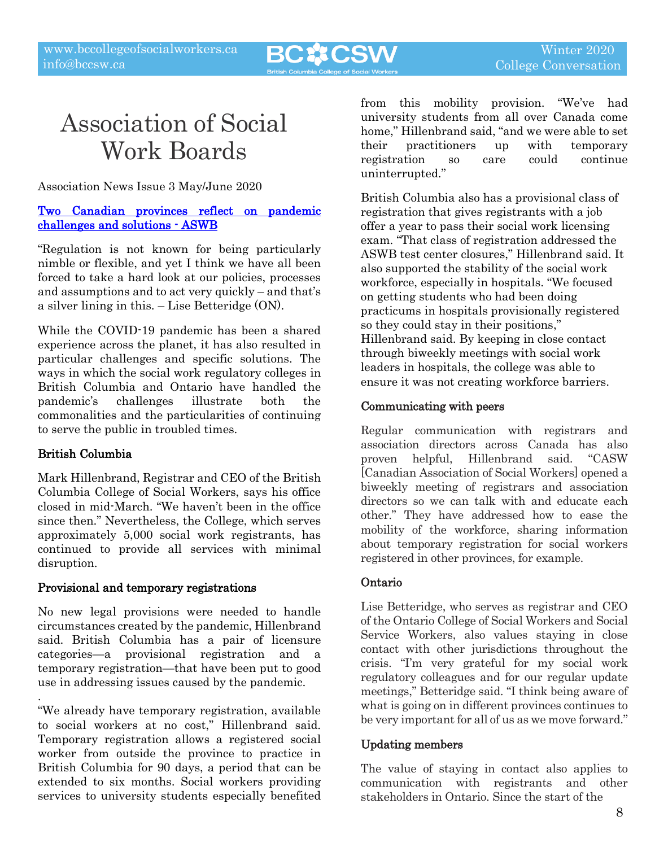

## Association of Social Work Boards

Association News Issue 3 May/June 2020

#### [Two Canadian provinces reflect on pandemic](https://www.aswb.org/news/volume-30/v30-issue-3/two-canadian-provinces-reflect-on-pandemic-challenges-and-solutions/)  [challenges and solutions - ASWB](https://www.aswb.org/news/volume-30/v30-issue-3/two-canadian-provinces-reflect-on-pandemic-challenges-and-solutions/)

"Regulation is not known for being particularly nimble or flexible, and yet I think we have all been forced to take a hard look at our policies, processes and assumptions and to act very quickly – and that's a silver lining in this. – Lise Betteridge (ON).

While the COVID-19 pandemic has been a shared experience across the planet, it has also resulted in particular challenges and specific solutions. The ways in which the social work regulatory colleges in British Columbia and Ontario have handled the pandemic's challenges illustrate both the commonalities and the particularities of continuing to serve the public in troubled times.

#### British Columbia

Mark Hillenbrand, Registrar and CEO of the British Columbia College of Social Workers, says his office closed in mid-March. "We haven't been in the office since then." Nevertheless, the College, which serves approximately 5,000 social work registrants, has continued to provide all services with minimal disruption.

#### Provisional and temporary registrations

No new legal provisions were needed to handle circumstances created by the pandemic, Hillenbrand said. British Columbia has a pair of licensure categories—a provisional registration and a temporary registration—that have been put to good use in addressing issues caused by the pandemic.

. "We already have temporary registration, available to social workers at no cost," Hillenbrand said. Temporary registration allows a registered social worker from outside the province to practice in British Columbia for 90 days, a period that can be extended to six months. Social workers providing services to university students especially benefited

from this mobility provision. "We've had university students from all over Canada come home," Hillenbrand said, "and we were able to set their practitioners up with temporary registration so care could continue uninterrupted."

British Columbia also has a provisional class of registration that gives registrants with a job offer a year to pass their social work licensing exam. "That class of registration addressed the ASWB test center closures," Hillenbrand said. It also supported the stability of the social work workforce, especially in hospitals. "We focused on getting students who had been doing practicums in hospitals provisionally registered so they could stay in their positions," Hillenbrand said. By keeping in close contact through biweekly meetings with social work leaders in hospitals, the college was able to ensure it was not creating workforce barriers.

#### Communicating with peers

Regular communication with registrars and association directors across Canada has also proven helpful, Hillenbrand said. "CASW [Canadian Association of Social Workers] opened a biweekly meeting of registrars and association directors so we can talk with and educate each other." They have addressed how to ease the mobility of the workforce, sharing information about temporary registration for social workers registered in other provinces, for example.

#### Ontario

Lise Betteridge, who serves as registrar and CEO of the Ontario College of Social Workers and Social Service Workers, also values staying in close contact with other jurisdictions throughout the crisis. "I'm very grateful for my social work regulatory colleagues and for our regular update meetings," Betteridge said. "I think being aware of what is going on in different provinces continues to be very important for all of us as we move forward."

#### Updating members

The value of staying in contact also applies to communication with registrants and other stakeholders in Ontario. Since the start of the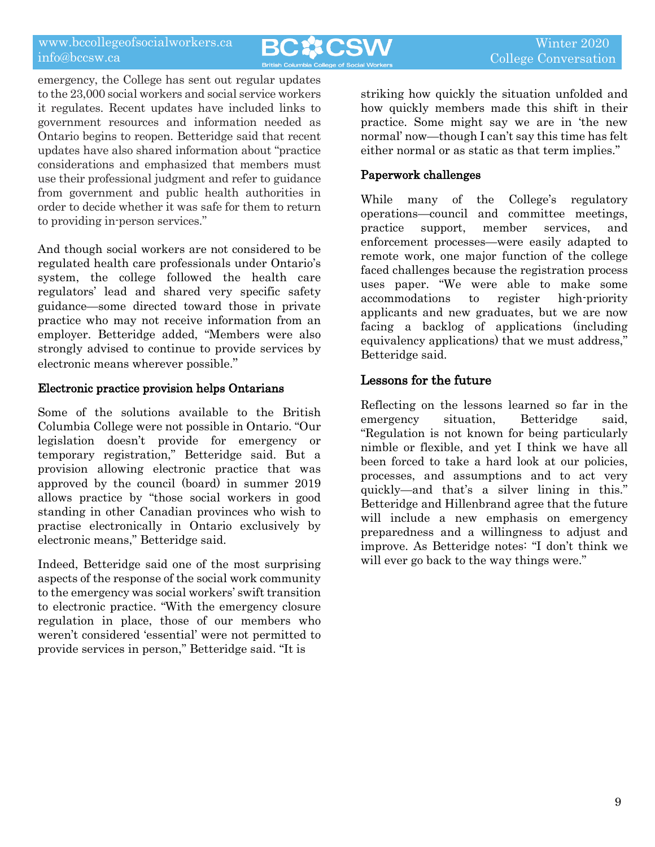**BC☆CSW** 

emergency, the College has sent out regular updates to the 23,000 social workers and social service workers it regulates. Recent updates have included links to government resources and information needed as Ontario begins to reopen. Betteridge said that recent updates have also shared information about "practice considerations and emphasized that members must use their professional judgment and refer to guidance from government and public health authorities in order to decide whether it was safe for them to return to providing in-person services."

And though social workers are not considered to be regulated health care professionals under Ontario's system, the college followed the health care regulators' lead and shared very specific safety guidance—some directed toward those in private practice who may not receive information from an employer. Betteridge added, "Members were also strongly advised to continue to provide services by electronic means wherever possible."

#### Electronic practice provision helps Ontarians

Some of the solutions available to the British Columbia College were not possible in Ontario. "Our legislation doesn't provide for emergency or temporary registration," Betteridge said. But a provision allowing electronic practice that was approved by the council (board) in summer 2019 allows practice by "those social workers in good standing in other Canadian provinces who wish to practise electronically in Ontario exclusively by electronic means," Betteridge said.

Indeed, Betteridge said one of the most surprising aspects of the response of the social work community to the emergency was social workers' swift transition to electronic practice. "With the emergency closure regulation in place, those of our members who weren't considered 'essential' were not permitted to provide services in person," Betteridge said. "It is

striking how quickly the situation unfolded and how quickly members made this shift in their practice. Some might say we are in 'the new normal' now—though I can't say this time has felt either normal or as static as that term implies."

#### Paperwork challenges

While many of the College's regulatory operations—council and committee meetings, practice support, member services, and enforcement processes—were easily adapted to remote work, one major function of the college faced challenges because the registration process uses paper. "We were able to make some accommodations to register high-priority applicants and new graduates, but we are now facing a backlog of applications (including equivalency applications) that we must address," Betteridge said.

#### Lessons for the future

Reflecting on the lessons learned so far in the emergency situation, Betteridge said, "Regulation is not known for being particularly nimble or flexible, and yet I think we have all been forced to take a hard look at our policies, processes, and assumptions and to act very quickly—and that's a silver lining in this." Betteridge and Hillenbrand agree that the future will include a new emphasis on emergency preparedness and a willingness to adjust and improve. As Betteridge notes: "I don't think we will ever go back to the way things were."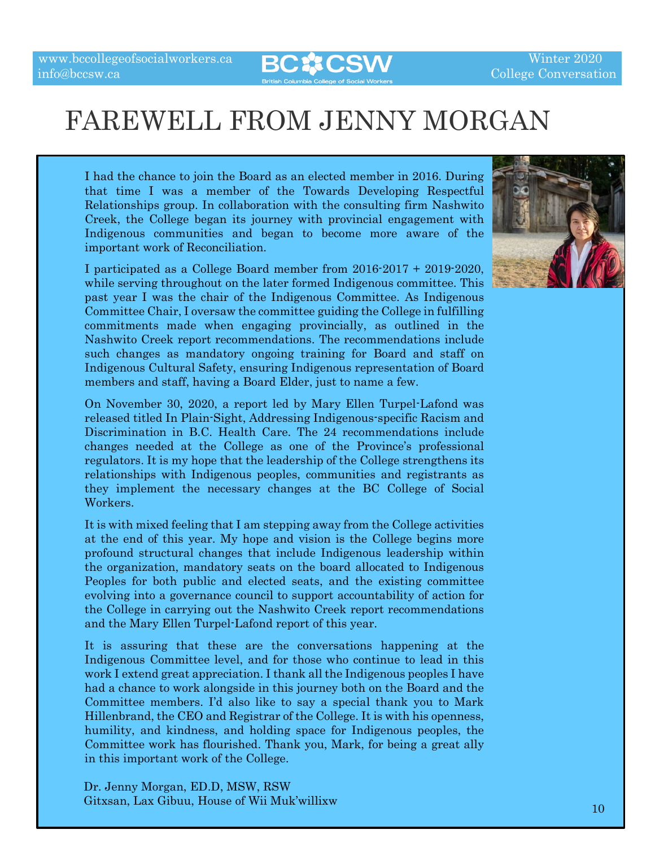

## FAREWELL FROM JENNY MORGAN

I had the chance to join the Board as an elected member in 2016. During that time I was a member of the Towards Developing Respectful Relationships group. In collaboration with the consulting firm Nashwito Creek, the College began its journey with provincial engagement with Indigenous communities and began to become more aware of the important work of Reconciliation.

I participated as a College Board member from 2016-2017 + 2019-2020, while serving throughout on the later formed Indigenous committee. This past year I was the chair of the Indigenous Committee. As Indigenous Committee Chair, I oversaw the committee guiding the College in fulfilling commitments made when engaging provincially, as outlined in the Nashwito Creek report recommendations. The recommendations include such changes as mandatory ongoing training for Board and staff on Indigenous Cultural Safety, ensuring Indigenous representation of Board members and staff, having a Board Elder, just to name a few.

On November 30, 2020, a report led by Mary Ellen Turpel-Lafond was released titled In Plain-Sight, Addressing Indigenous-specific Racism and Discrimination in B.C. Health Care. The 24 recommendations include changes needed at the College as one of the Province's professional regulators. It is my hope that the leadership of the College strengthens its relationships with Indigenous peoples, communities and registrants as they implement the necessary changes at the BC College of Social Workers.

It is with mixed feeling that I am stepping away from the College activities at the end of this year. My hope and vision is the College begins more profound structural changes that include Indigenous leadership within the organization, mandatory seats on the board allocated to Indigenous Peoples for both public and elected seats, and the existing committee evolving into a governance council to support accountability of action for the College in carrying out the Nashwito Creek report recommendations and the Mary Ellen Turpel-Lafond report of this year.

It is assuring that these are the conversations happening at the Indigenous Committee level, and for those who continue to lead in this work I extend great appreciation. I thank all the Indigenous peoples I have had a chance to work alongside in this journey both on the Board and the Committee members. I'd also like to say a special thank you to Mark Hillenbrand, the CEO and Registrar of the College. It is with his openness, humility, and kindness, and holding space for Indigenous peoples, the Committee work has flourished. Thank you, Mark, for being a great ally in this important work of the College.

Dr. Jenny Morgan, ED.D, MSW, RSW Gitxsan, Lax Gibuu, House of Wii Muk'willixw <sup>10</sup>

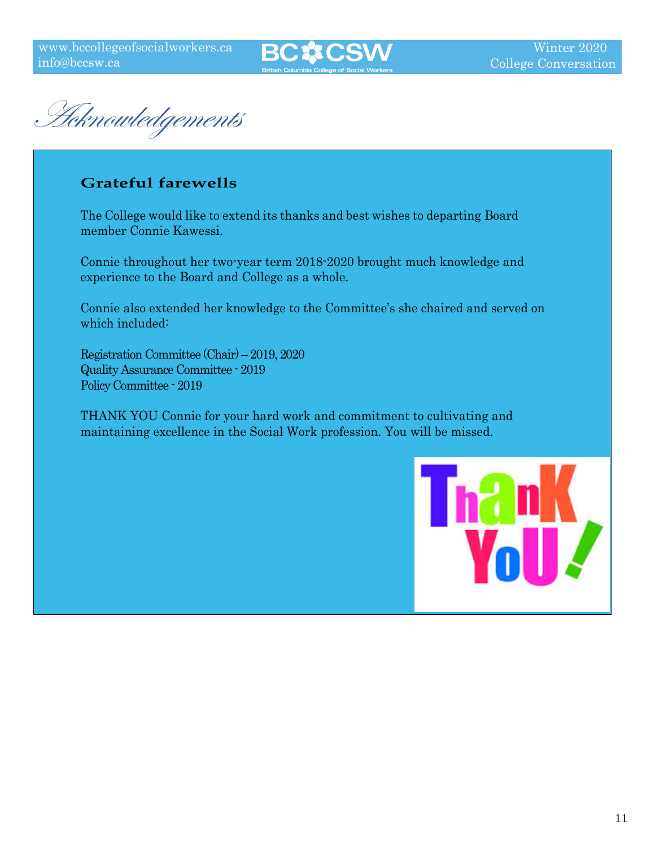

Acknowledgements

#### **Grateful farewells**

The College would like to extend its thanks and best wishes to departing Board member Connie Kawessi.

Connie throughout her two-year term 2018-2020 brought much knowledge and experience to the Board and College as a whole.

Connie also extended her knowledge to the Committee's she chaired and served on which included:

Registration Committee (Chair) – 2019, 2020 Quality Assurance Committee - 2019 Policy Committee - 2019

THANK YOU Connie for your hard work and commitment to cultivating and maintaining excellence in the Social Work profession. You will be missed.

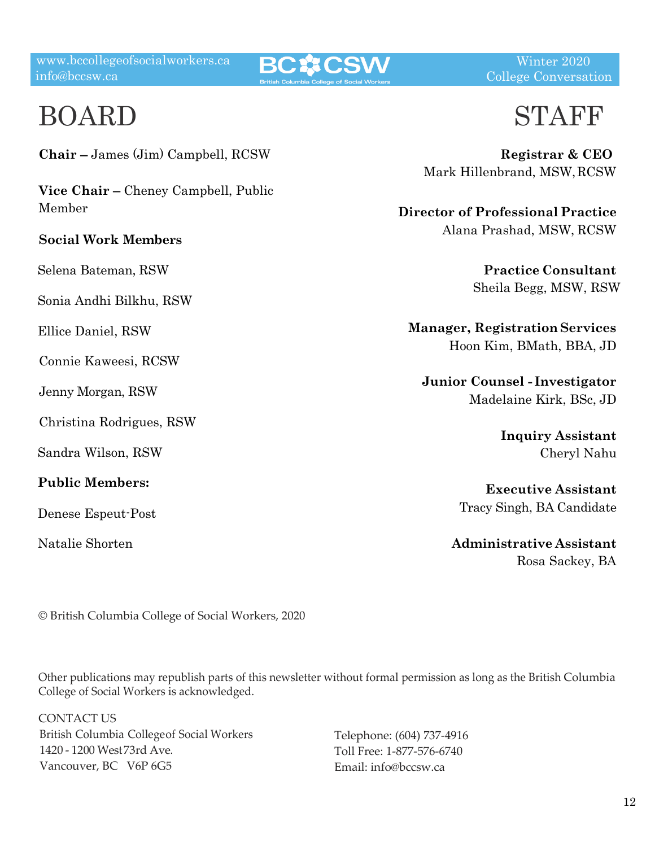**BC☆CSW** 

Winter 2020 College Conversation

## BOARD

**Chair** – James (Jim) Campbell, RCSW

**Vice Chair** – Cheney Campbell, Public Member

#### **Social Work Members**

Selena Bateman, RSW

Sonia Andhi Bilkhu, RSW

Ellice Daniel, RSW

Connie Kaweesi, RCSW

Jenny Morgan, RSW

Christina Rodrigues, RSW

Sandra Wilson, RSW

**Public Members:**

Denese Espeut-Post

Natalie Shorten

## STAFF

**Registrar & CEO** Mark Hillenbrand, MSW,RCSW

**Director of Professional Practice** Alana Prashad, MSW, RCSW

> **Practice Consultant** Sheila Begg, MSW, RSW

**Manager, Registration Services** Hoon Kim, BMath, BBA, JD

**Junior Counsel - Investigator** Madelaine Kirk, BSc, JD

> **Inquiry Assistant**  Cheryl Nahu

**Executive Assistant**  Tracy Singh, BA Candidate

**Administrative Assistant**  Rosa Sackey, BA

© British Columbia College of Social Workers, 2020

Other publications may republish parts of this newsletter without formal permission as long as the British Columbia College of Social Workers is acknowledged.

CONTACT US British Columbia Collegeof Social Workers 1420 - 1200 West 73rd Ave. Vancouver, BC V6P 6G5

Telephone: (604) 737-4916 Toll Free: 1-877-576-6740 Emai[l: info@bccsw.ca](mailto:info@bccsw.ca)